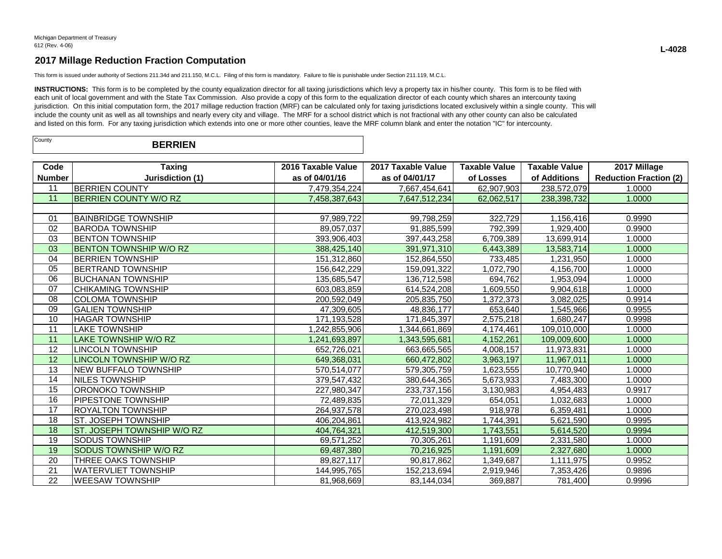This form is issued under authority of Sections 211.34d and 211.150, M.C.L. Filing of this form is mandatory. Failure to file is punishable under Section 211.119, M.C.L.

INSTRUCTIONS: This form is to be completed by the county equalization director for all taxing jurisdictions which levy a property tax in his/her county. This form is to be filed with each unit of local government and with the State Tax Commission. Also provide a copy of this form to the equalization director of each county which shares an intercounty taxing jurisdiction. On this initial computation form, the 2017 millage reduction fraction (MRF) can be calculated only for taxing jurisdictions located exclusively within a single county. This will include the county unit as well as all townships and nearly every city and village. The MRF for a school district which is not fractional with any other county can also be calculated and listed on this form. For any taxing jurisdiction which extends into one or more other counties, leave the MRF column blank and enter the notation "IC" for intercounty.

| County | <b>BERRIEN</b> |  |
|--------|----------------|--|
|--------|----------------|--|

| Code          | Taxing                         | 2016 Taxable Value | 2017 Taxable Value | <b>Taxable Value</b> | Taxable Value | 2017 Millage                  |
|---------------|--------------------------------|--------------------|--------------------|----------------------|---------------|-------------------------------|
| <b>Number</b> | Jurisdiction (1)               | as of 04/01/16     | as of 04/01/17     | of Losses            | of Additions  | <b>Reduction Fraction (2)</b> |
| 11            | <b>BERRIEN COUNTY</b>          | 7,479,354,224      | 7,667,454,641      | 62,907,903           | 238,572,079   | 1.0000                        |
| 11            | <b>BERRIEN COUNTY W/O RZ</b>   | 7,458,387,643      | 7,647,512,234      | 62,062,517           | 238,398,732   | 1.0000                        |
|               |                                |                    |                    |                      |               |                               |
| 01            | IBAINBRIDGE TOWNSHIP           | 97,989,722         | 99,798,259         | 322,729              | 1,156,416     | 0.9990                        |
| 02            | <b>BARODA TOWNSHIP</b>         | 89,057,037         | 91,885,599         | 792,399              | 1,929,400     | 0.9900                        |
| 03            | <b>BENTON TOWNSHIP</b>         | 393,906,403        | 397,443,258        | 6,709,389            | 13,699,914    | 1.0000                        |
| 03            | <b>BENTON TOWNSHIP W/O RZ</b>  | 388,425,140        | 391,971,310        | 6.443.389            | 13.583.714    | 1.0000                        |
| 04            | <b>BERRIEN TOWNSHIP</b>        | 151,312,860        | 152,864,550        | 733,485              | 1,231,950     | 1.0000                        |
| 05            | <b>IBERTRAND TOWNSHIP</b>      | 156,642,229        | 159,091,322        | 1,072,790            | 4,156,700     | 1.0000                        |
| 06            | IBUCHANAN TOWNSHIP             | 135,685,547        | 136,712,598        | 694,762              | 1,953,094     | 1.0000                        |
| 07            | <b>CHIKAMING TOWNSHIP</b>      | 603,083,859        | 614,524,208        | 1,609,550            | 9,904,618     | 1.0000                        |
| 08            | <b>COLOMA TOWNSHIP</b>         | 200,592,049        | 205,835,750        | 1,372,373            | 3,082,025     | 0.9914                        |
| 09            | <b>GALIEN TOWNSHIP</b>         | 47.309.605         | 48,836,177         | 653,640              | 1,545,966     | 0.9955                        |
| 10            | <b>HAGAR TOWNSHIP</b>          | 171,193,528        | 171,845,397        | 2,575,218            | 1,680,247     | 0.9998                        |
| 11            | <b>LAKE TOWNSHIP</b>           | 1.242.855.906      | 1,344,661,869      | 4,174,461            | 109,010,000   | 1.0000                        |
| 11            | LAKE TOWNSHIP W/O RZ           | 1,241,693,897      | 1.343.595.681      | 4,152,261            | 109.009.600   | 1.0000                        |
| 12            | <b>LINCOLN TOWNSHIP</b>        | 652,726,021        | 663,665,565        | 4,008,157            | 11,973,831    | 1.0000                        |
| 12            | <b>LINCOLN TOWNSHIP W/O RZ</b> | 649,368,031        | 660,472,802        | 3,963,197            | 11,967,011    | 1.0000                        |
| 13            | <b>NEW BUFFALO TOWNSHIP</b>    | 570,514,077        | 579,305,759        | 1,623,555            | 10.770.940    | 1.0000                        |
| 14            | NILES TOWNSHIP                 | 379,547,432        | 380,644,365        | 5,673,933            | 7,483,300     | 1.0000                        |
| 15            | ORONOKO TOWNSHIP               | 227,980,347        | 233,737,156        | 3,130,983            | 4,954,483     | 0.9917                        |
| 16            | <b>PIPESTONE TOWNSHIP</b>      | 72,489,835         | 72,011,329         | 654,051              | 1,032,683     | 1.0000                        |
| 17            | IROYALTON TOWNSHIP             | 264,937,578        | 270,023,498        | 918,978              | 6,359,481     | 1.0000                        |
| 18            | ST. JOSEPH TOWNSHIP            | 406,204,861        | 413,924,982        | 1,744,391            | 5,621,590     | 0.9995                        |
| 18            | ST. JOSEPH TOWNSHIP W/O RZ     | 404,764,321        | 412,519,300        | 1,743,551            | 5,614,520     | 0.9994                        |
| 19            | ISODUS TOWNSHIP                | 69,571,252         | 70,305,261         | 1,191,609            | 2,331,580     | 1.0000                        |
| 19            | <b>SODUS TOWNSHIP W/O RZ</b>   | 69,487,380         | 70,216,925         | 1,191,609            | 2,327,680     | 1.0000                        |
| 20            | THREE OAKS TOWNSHIP            | 89,827,117         | 90,817,862         | 1,349,687            | 1,111,975     | 0.9952                        |
| 21            | <b>WATERVLIET TOWNSHIP</b>     | 144,995,765        | 152,213,694        | 2,919,946            | 7,353,426     | 0.9896                        |
| 22            | <b>WEESAW TOWNSHIP</b>         | 81,968,669         | 83,144,034         | 369,887              | 781,400       | 0.9996                        |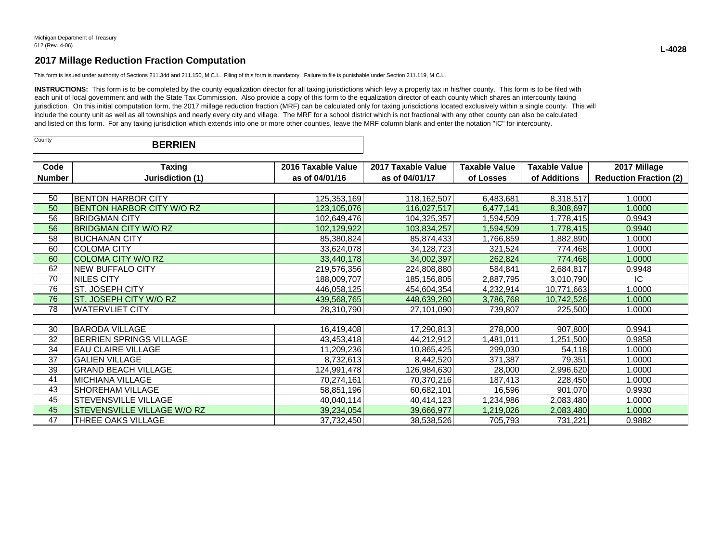This form is issued under authority of Sections 211.34d and 211.150, M.C.L. Filing of this form is mandatory. Failure to file is punishable under Section 211.119, M.C.L.

INSTRUCTIONS: This form is to be completed by the county equalization director for all taxing jurisdictions which levy a property tax in his/her county. This form is to be filed with each unit of local government and with the State Tax Commission. Also provide a copy of this form to the equalization director of each county which shares an intercounty taxing jurisdiction. On this initial computation form, the 2017 millage reduction fraction (MRF) can be calculated only for taxing jurisdictions located exclusively within a single county. This will include the county unit as well as all townships and nearly every city and village. The MRF for a school district which is not fractional with any other county can also be calculated and listed on this form. For any taxing jurisdiction which extends into one or more other counties, leave the MRF column blank and enter the notation "IC" for intercounty.

| Code          | <b>Taxing</b>                    | 2016 Taxable Value | 2017 Taxable Value | <b>Taxable Value</b> | <b>Taxable Value</b> | 2017 Millage                  |  |  |
|---------------|----------------------------------|--------------------|--------------------|----------------------|----------------------|-------------------------------|--|--|
| <b>Number</b> | Jurisdiction (1)                 | as of 04/01/16     | as of 04/01/17     | of Losses            | of Additions         | <b>Reduction Fraction (2)</b> |  |  |
|               |                                  |                    |                    |                      |                      |                               |  |  |
| 50            | <b>BENTON HARBOR CITY</b>        | 125,353,169        | 118,162,507        | 6,483,681            | 8,318,517            | 1.0000                        |  |  |
| 50            | <b>BENTON HARBOR CITY W/O RZ</b> | 123,105,076        | 116,027,517        | 6,477,141            | 8,308,697            | 1.0000                        |  |  |
| 56            | <b>BRIDGMAN CITY</b>             | 102,649,476        | 104,325,357        | 1,594,509            | 1,778,415            | 0.9943                        |  |  |
| 56            | <b>BRIDGMAN CITY W/O RZ</b>      | 102,129,922        | 103,834,257        | 1,594,509            | 1,778,415            | 0.9940                        |  |  |
| 58            | <b>BUCHANAN CITY</b>             | 85,380,824         | 85,874,433         | 1,766,859            | 1,882,890            | 1.0000                        |  |  |
| 60            | <b>COLOMA CITY</b>               | 33,624,078         | 34,128,723         | 321,524              | 774,468              | 1.0000                        |  |  |
| 60            | <b>COLOMA CITY W/O RZ</b>        | 33,440,178         | 34,002,397         | 262,824              | 774,468              | 1.0000                        |  |  |
| 62            | <b>NEW BUFFALO CITY</b>          | 219,576,356        | 224,808,880        | 584,841              | 2,684,817            | 0.9948                        |  |  |
| 70            | NILES CITY                       | 188,009,707        | 185,156,805        | 2,887,795            | 3,010,790            | IC.                           |  |  |
| 76            | ST. JOSEPH CITY                  | 446,058,125        | 454,604,354        | 4,232,914            | 10,771,663           | 1.0000                        |  |  |
| 76            | ST. JOSEPH CITY W/O RZ           | 439,568,765        | 448,639,280        | 3,786,768            | 10,742,526           | 1.0000                        |  |  |
| 78            | <b>WATERVLIET CITY</b>           | 28,310,790         | 27,101,090         | 739,807              | 225,500              | 1.0000                        |  |  |
|               |                                  |                    |                    |                      |                      |                               |  |  |
| 30            | <b>BARODA VILLAGE</b>            | 16,419,408         | 17,290,813         | 278,000              | 907,800              | 0.9941                        |  |  |
| 32            | <b>BERRIEN SPRINGS VILLAGE</b>   | 43,453,418         | 44,212,912         | ,481,011             | 1,251,500            | 0.9858                        |  |  |
| 34            | <b>EAU CLAIRE VILLAGE</b>        | 11,209,236         | 10,865,425         | 299,030              | 54,118               | 1.0000                        |  |  |
| 37            | <b>GALIEN VILLAGE</b>            | 8,732,613          | 8,442,520          | 371,387              | 79,351               | 1.0000                        |  |  |
| 39            | <b>GRAND BEACH VILLAGE</b>       | 124,991,478        | 126,984,630        | 28,000               | 2,996,620            | 1.0000                        |  |  |
| 41            | <b>MICHIANA VILLAGE</b>          | 70,274,161         | 70,370,216         | 187,413              | 228,450              | 1.0000                        |  |  |
| 43            | SHOREHAM VILLAGE                 | 58,851,196         | 60,682,101         | 16,596               | 901,070              | 0.9930                        |  |  |
| 45            | STEVENSVILLE VILLAGE             | 40,040,114         | 40,414,123         | 1,234,986            | 2,083,480            | 1.0000                        |  |  |
| 45            | STEVENSVILLE VILLAGE W/O RZ      | 39,234,054         | 39,666,977         | 1,219,026            | 2,083,480            | 1.0000                        |  |  |
| 47            | THREE OAKS VILLAGE               | 37,732,450         | 38,538,526         | 705,793              | 731,221              | 0.9882                        |  |  |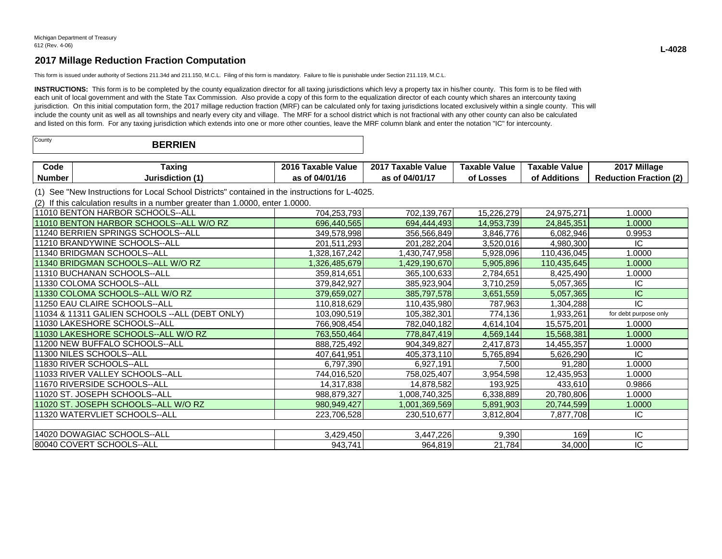This form is issued under authority of Sections 211.34d and 211.150, M.C.L. Filing of this form is mandatory. Failure to file is punishable under Section 211.119, M.C.L.

INSTRUCTIONS: This form is to be completed by the county equalization director for all taxing jurisdictions which levy a property tax in his/her county. This form is to be filed with each unit of local government and with the State Tax Commission. Also provide a copy of this form to the equalization director of each county which shares an intercounty taxing jurisdiction. On this initial computation form, the 2017 millage reduction fraction (MRF) can be calculated only for taxing jurisdictions located exclusively within a single county. This will include the county unit as well as all townships and nearly every city and village. The MRF for a school district which is not fractional with any other county can also be calculated and listed on this form. For any taxing jurisdiction which extends into one or more other counties, leave the MRF column blank and enter the notation "IC" for intercounty.

| County | <b>BERRIEN</b> |
|--------|----------------|
|--------|----------------|

| Jode          | raxino       | 2016<br>Value<br><b>Faxable</b> | 2017<br>.<br><b>Taxable</b><br>Value | Value<br><b>Taxable</b> | Value<br><b>Taxable</b> | 2017 Millage                    |
|---------------|--------------|---------------------------------|--------------------------------------|-------------------------|-------------------------|---------------------------------|
| <b>Number</b> | Jurisdiction | 04/01/1<br>. .                  | 04/01/                               | _osses                  | <b>Additions</b><br>от  | $\sim$<br>setier<br>Peduction L |

(1) See "New Instructions for Local School Districts" contained in the instructions for L-4025.

(2) If this calculation results in a number greater than 1.0000, enter 1.0000.

| 111010 BENTON HARBOR SCHOOLS--ALL               | 704,253,793   | 702,139,767   | 15,226,279 | 24,975,271  | 1.0000                |
|-------------------------------------------------|---------------|---------------|------------|-------------|-----------------------|
| 11010 BENTON HARBOR SCHOOLS--ALL W/O RZ         | 696,440,565   | 694,444,493   | 14,953,739 | 24,845,351  | 1.0000                |
| 11240 BERRIEN SPRINGS SCHOOLS--ALL              | 349,578,998   | 356,566,849   | 3,846,776  | 6,082,946   | 0.9953                |
| 11210 BRANDYWINE SCHOOLS--ALL                   | 201,511,293   | 201,282,204   | 3,520,016  | 4,980,300   | IC.                   |
| 111340 BRIDGMAN SCHOOLS--ALL                    | 328,167,242   | 1,430,747,958 | 5,928,096  | 110,436,045 | 1.0000                |
| 11340 BRIDGMAN SCHOOLS--ALL W/O RZ              | 1,326,485,679 | 1,429,190,670 | 5,905,896  | 110,435,645 | 1.0000                |
| 11310 BUCHANAN SCHOOLS--ALL                     | 359,814,651   | 365,100,633   | 2,784,651  | 8,425,490   | 1.0000                |
| l11330 COLOMA SCHOOLS--ALL                      | 379,842,927   | 385,923,904   | 3,710,259  | 5,057,365   | IC.                   |
| 11330 COLOMA SCHOOLS--ALL W/O RZ                | 379,659,027   | 385,797,578   | 3,651,559  | 5,057,365   | IС                    |
| 11250 EAU CLAIRE SCHOOLS--ALL                   | 110,818,629   | 110,435,980   | 787,963    | 1,304,288   | IC                    |
| 11034 & 11311 GALIEN SCHOOLS -- ALL (DEBT ONLY) | 103,090,519   | 105,382,301   | 774,136    | 1,933,261   | for debt purpose only |
| 11030 LAKESHORE SCHOOLS--ALL                    | 766,908,454   | 782,040,182   | 4,614,104  | 15,575,201  | 1.0000                |
| 11030 LAKESHORE SCHOOLS--ALL W/O RZ             | 763,550,464   | 778,847,419   | 4,569,144  | 15,568,381  | 1.0000                |
| 11200 NEW BUFFALO SCHOOLS--ALL                  | 888,725,492   | 904,349,827   | 2,417,873  | 14,455,357  | 1.0000                |
| 11300 NILES SCHOOLS--ALL                        | 407,641,951   | 405,373,110   | 5,765,894  | 5,626,290   | IC.                   |
| 11830 RIVER SCHOOLS--ALL                        | 6,797,390     | 6,927,191     | 7,500      | 91,280      | 1.0000                |
| 111033 RIVER VALLEY SCHOOLS--ALL                | 744,016,520   | 758,025,407   | 3,954,598  | 12,435,953  | 1.0000                |
| 11670 RIVERSIDE SCHOOLS--ALL                    | 14,317,838    | 14,878,582    | 193,925    | 433,610     | 0.9866                |
| 11020 ST. JOSEPH SCHOOLS--ALL                   | 988,879,327   | 1,008,740,325 | 6,338,889  | 20,780,806  | 1.0000                |
| 11020 ST. JOSEPH SCHOOLS--ALL W/O RZ            | 980,949,427   | 1,001,369,569 | 5,891,903  | 20,744,599  | 1.0000                |
| 11320 WATERVLIET SCHOOLS--ALL                   | 223,706,528   | 230,510,677   | 3,812,804  | 7,877,708   | IC.                   |
|                                                 |               |               |            |             |                       |
| 14020 DOWAGIAC SCHOOLS--ALL                     | 3,429,450     | 3,447,226     | 9,390      | 169         | IC.                   |
| 80040 COVERT SCHOOLS--ALL                       | 943,741       | 964,819       | 21,784     | 34,000      | IC                    |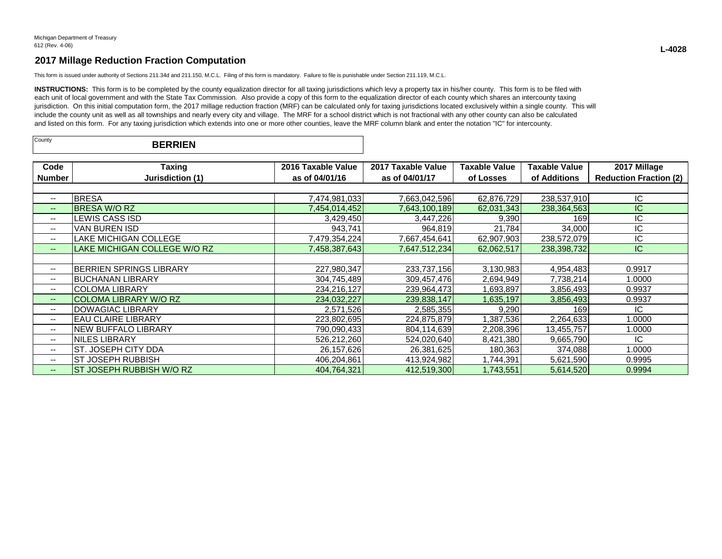This form is issued under authority of Sections 211.34d and 211.150, M.C.L. Filing of this form is mandatory. Failure to file is punishable under Section 211.119, M.C.L.

INSTRUCTIONS: This form is to be completed by the county equalization director for all taxing jurisdictions which levy a property tax in his/her county. This form is to be filed with each unit of local government and with the State Tax Commission. Also provide a copy of this form to the equalization director of each county which shares an intercounty taxing jurisdiction. On this initial computation form, the 2017 millage reduction fraction (MRF) can be calculated only for taxing jurisdictions located exclusively within a single county. This will include the county unit as well as all townships and nearly every city and village. The MRF for a school district which is not fractional with any other county can also be calculated and listed on this form. For any taxing jurisdiction which extends into one or more other counties, leave the MRF column blank and enter the notation "IC" for intercounty.

| County | <b>BERRIEN</b> |  |
|--------|----------------|--|
|--------|----------------|--|

| Code                     | Taxing                         | 2016 Taxable Value | 2017 Taxable Value | <b>Taxable Value</b> | Taxable Value | 2017 Millage                  |
|--------------------------|--------------------------------|--------------------|--------------------|----------------------|---------------|-------------------------------|
| Number                   | Jurisdiction (1)               | as of 04/01/16     | as of 04/01/17     | of Losses            | of Additions  | <b>Reduction Fraction (2)</b> |
|                          |                                |                    |                    |                      |               |                               |
| $- -$                    | <b>BRESA</b>                   | 7,474,981,033      | 7,663,042,596      | 62,876,729           | 238,537,910   | IC.                           |
| $\qquad \qquad \cdots$   | <b>BRESA W/O RZ</b>            | 7,454,014,452      | 7,643,100,189      | 62,031,343           | 238, 364, 563 | IС                            |
| $\overline{\phantom{a}}$ | LEWIS CASS ISD                 | 3,429,450          | 3,447,226          | 9,390                | 169           | IC                            |
| $\overline{\phantom{a}}$ | VAN BUREN ISD                  | 943,741            | 964,819            | 21,784               | 34,000        | ΙC                            |
| $\overline{\phantom{a}}$ | LAKE MICHIGAN COLLEGE          | 7,479,354,224      | 7,667,454,641      | 62,907,903           | 238,572,079   | IC                            |
| $- -$                    | LAKE MICHIGAN COLLEGE W/O RZ   | 7,458,387,643      | 7,647,512,234      | 62,062,517           | 238,398,732   | IC.                           |
|                          |                                |                    |                    |                      |               |                               |
| --                       | <b>BERRIEN SPRINGS LIBRARY</b> | 227,980,347        | 233,737,156        | 3,130,983            | 4,954,483     | 0.9917                        |
| --                       | <b>BUCHANAN LIBRARY</b>        | 304,745,489        | 309,457,476        | 2,694,949            | 7,738,214     | 1.0000                        |
| $\overline{\phantom{a}}$ | <b>COLOMA LIBRARY</b>          | 234,216,127        | 239,964,473        | 1,693,897            | 3,856,493     | 0.9937                        |
| $- -$                    | COLOMA LIBRARY W/O RZ          | 234,032,227        | 239,838,147        | 1,635,197            | 3,856,493     | 0.9937                        |
| $- -$                    | <b>DOWAGIAC LIBRARY</b>        | 2,571,526          | 2,585,355          | 9,290                | 169           | IC                            |
| $\overline{\phantom{a}}$ | <b>EAU CLAIRE LIBRARY</b>      | 223,802,695        | 224,875,879        | 1,387,536            | 2,264,633     | 1.0000                        |
| $\overline{\phantom{a}}$ | <b>NEW BUFFALO LIBRARY</b>     | 790,090,433        | 804,114,639        | 2,208,396            | 13,455,757    | 1.0000                        |
| $- -$                    | INILES LIBRARY                 | 526.212.260        | 524,020,640        | 8,421,380            | 9.665.790     | IC                            |
| --                       | ST. JOSEPH CITY DDA            | 26,157,626         | 26,381,625         | 180,363              | 374,088       | 1.0000                        |
| --                       | <b>ST JOSEPH RUBBISH</b>       | 406,204,861        | 413,924,982        | 1,744,391            | 5,621,590     | 0.9995                        |
| $- -$                    | ST JOSEPH RUBBISH W/O RZ       | 404,764,321        | 412,519,300        | 1,743,551            | 5,614,520     | 0.9994                        |